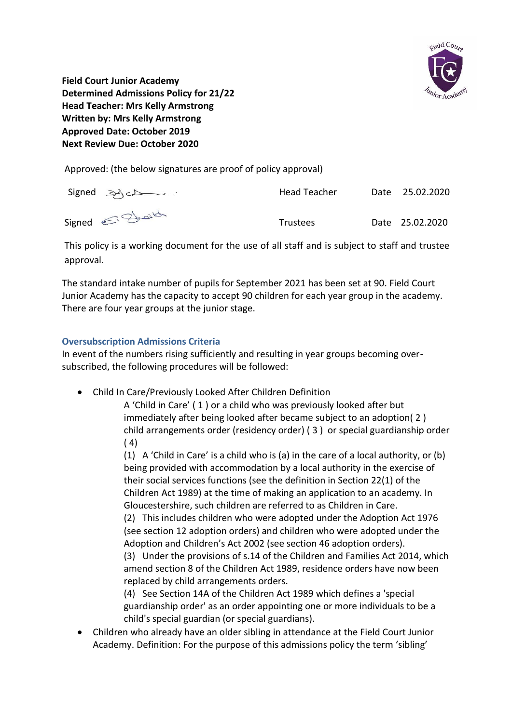

**Field Court Junior Academy Determined Admissions Policy for 21/22 Head Teacher: Mrs Kelly Armstrong Written by: Mrs Kelly Armstrong Approved Date: October 2019 Next Review Due: October 2020**

Approved: (the below signatures are proof of policy approval)

| $Signed \geq C$ | Head Teacher    | Date 25.02.2020 |
|-----------------|-----------------|-----------------|
| Signed E. Just  | <b>Trustees</b> | Date 25.02.2020 |

This policy is a working document for the use of all staff and is subject to staff and trustee approval.

The standard intake number of pupils for September 2021 has been set at 90. Field Court Junior Academy has the capacity to accept 90 children for each year group in the academy. There are four year groups at the junior stage.

# **Oversubscription Admissions Criteria**

In event of the numbers rising sufficiently and resulting in year groups becoming oversubscribed, the following procedures will be followed:

Child In Care/Previously Looked After Children Definition

A 'Child in Care' ( 1 ) or a child who was previously looked after but immediately after being looked after became subject to an adoption( 2 ) child arrangements order (residency order) ( 3 ) or special guardianship order  $(4)$ 

(1) A 'Child in Care' is a child who is (a) in the care of a local authority, or (b) being provided with accommodation by a local authority in the exercise of their social services functions (see the definition in Section 22(1) of the Children Act 1989) at the time of making an application to an academy. In Gloucestershire, such children are referred to as Children in Care.

(2) This includes children who were adopted under the Adoption Act 1976 (see section 12 adoption orders) and children who were adopted under the Adoption and Children's Act 2002 (see section 46 adoption orders).

(3) Under the provisions of s.14 of the Children and Families Act 2014, which amend section 8 of the Children Act 1989, residence orders have now been replaced by child arrangements orders.

(4) See Section 14A of the Children Act 1989 which defines a 'special guardianship order' as an order appointing one or more individuals to be a child's special guardian (or special guardians).

 Children who already have an older sibling in attendance at the Field Court Junior Academy. Definition: For the purpose of this admissions policy the term 'sibling'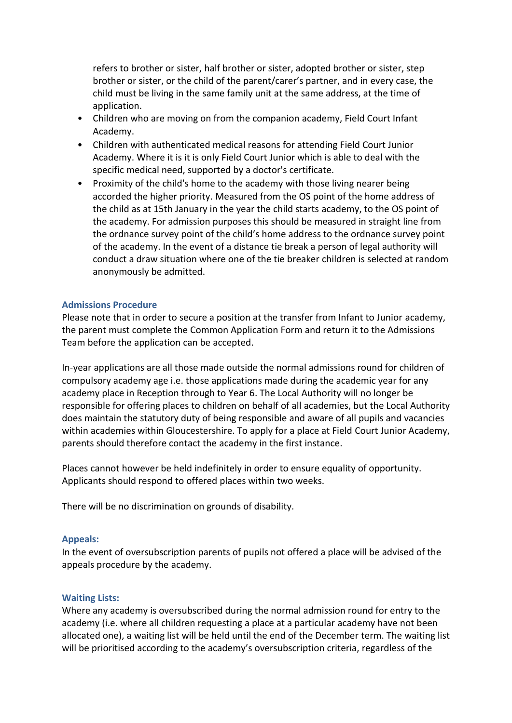refers to brother or sister, half brother or sister, adopted brother or sister, step brother or sister, or the child of the parent/carer's partner, and in every case, the child must be living in the same family unit at the same address, at the time of application.

- Children who are moving on from the companion academy, Field Court Infant Academy.
- Children with authenticated medical reasons for attending Field Court Junior Academy. Where it is it is only Field Court Junior which is able to deal with the specific medical need, supported by a doctor's certificate.
- Proximity of the child's home to the academy with those living nearer being accorded the higher priority. Measured from the OS point of the home address of the child as at 15th January in the year the child starts academy, to the OS point of the academy. For admission purposes this should be measured in straight line from the ordnance survey point of the child's home address to the ordnance survey point of the academy. In the event of a distance tie break a person of legal authority will conduct a draw situation where one of the tie breaker children is selected at random anonymously be admitted.

## **Admissions Procedure**

Please note that in order to secure a position at the transfer from Infant to Junior academy, the parent must complete the Common Application Form and return it to the Admissions Team before the application can be accepted.

In-year applications are all those made outside the normal admissions round for children of compulsory academy age i.e. those applications made during the academic year for any academy place in Reception through to Year 6. The Local Authority will no longer be responsible for offering places to children on behalf of all academies, but the Local Authority does maintain the statutory duty of being responsible and aware of all pupils and vacancies within academies within Gloucestershire. To apply for a place at Field Court Junior Academy, parents should therefore contact the academy in the first instance.

Places cannot however be held indefinitely in order to ensure equality of opportunity. Applicants should respond to offered places within two weeks.

There will be no discrimination on grounds of disability.

#### **Appeals:**

In the event of oversubscription parents of pupils not offered a place will be advised of the appeals procedure by the academy.

## **Waiting Lists:**

Where any academy is oversubscribed during the normal admission round for entry to the academy (i.e. where all children requesting a place at a particular academy have not been allocated one), a waiting list will be held until the end of the December term. The waiting list will be prioritised according to the academy's oversubscription criteria, regardless of the